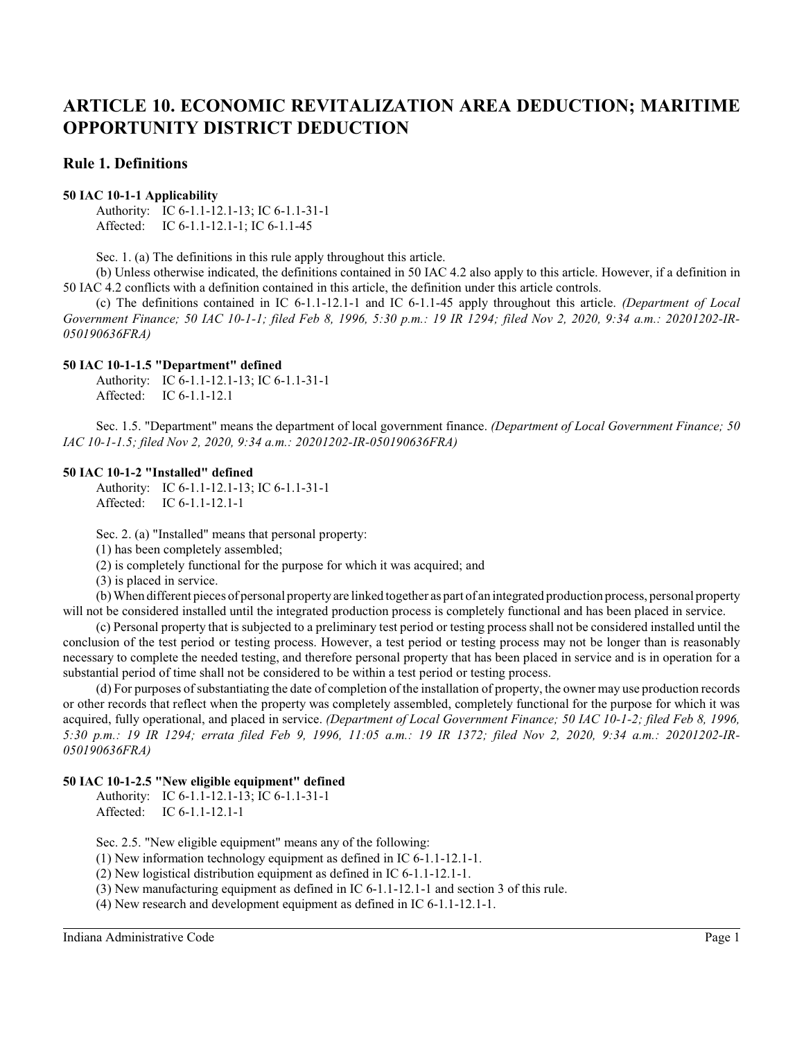# **Rule 1. Definitions**

#### **50 IAC 10-1-1 Applicability**

Authority: IC 6-1.1-12.1-13; IC 6-1.1-31-1 Affected: IC 6-1.1-12.1-1; IC 6-1.1-45

Sec. 1. (a) The definitions in this rule apply throughout this article.

(b) Unless otherwise indicated, the definitions contained in 50 IAC 4.2 also apply to this article. However, if a definition in 50 IAC 4.2 conflicts with a definition contained in this article, the definition under this article controls.

(c) The definitions contained in IC 6-1.1-12.1-1 and IC 6-1.1-45 apply throughout this article. *(Department of Local Government Finance; 50 IAC 10-1-1; filed Feb 8, 1996, 5:30 p.m.: 19 IR 1294; filed Nov 2, 2020, 9:34 a.m.: 20201202-IR-050190636FRA)*

#### **50 IAC 10-1-1.5 "Department" defined**

Authority: IC 6-1.1-12.1-13; IC 6-1.1-31-1 Affected: IC 6-1.1-12.1

Sec. 1.5. "Department" means the department of local government finance. *(Department of Local Government Finance; 50 IAC 10-1-1.5; filed Nov 2, 2020, 9:34 a.m.: 20201202-IR-050190636FRA)*

#### **50 IAC 10-1-2 "Installed" defined**

Authority: IC 6-1.1-12.1-13; IC 6-1.1-31-1 Affected: IC 6-1.1-12.1-1

Sec. 2. (a) "Installed" means that personal property:

(1) has been completely assembled;

(2) is completely functional for the purpose for which it was acquired; and

(3) is placed in service.

(b) When different pieces of personal property are linked together as part of an integrated production process, personal property will not be considered installed until the integrated production process is completely functional and has been placed in service.

(c) Personal property that is subjected to a preliminary test period or testing process shall not be considered installed until the conclusion of the test period or testing process. However, a test period or testing process may not be longer than is reasonably necessary to complete the needed testing, and therefore personal property that has been placed in service and is in operation for a substantial period of time shall not be considered to be within a test period or testing process.

(d) For purposes of substantiating the date of completion of the installation of property, the owner may use production records or other records that reflect when the property was completely assembled, completely functional for the purpose for which it was acquired, fully operational, and placed in service. *(Department of Local Government Finance; 50 IAC 10-1-2; filed Feb 8, 1996, 5:30 p.m.: 19 IR 1294; errata filed Feb 9, 1996, 11:05 a.m.: 19 IR 1372; filed Nov 2, 2020, 9:34 a.m.: 20201202-IR-050190636FRA)*

## **50 IAC 10-1-2.5 "New eligible equipment" defined**

Authority: IC 6-1.1-12.1-13; IC 6-1.1-31-1 Affected: IC 6-1.1-12.1-1

Sec. 2.5. "New eligible equipment" means any of the following:

(1) New information technology equipment as defined in IC 6-1.1-12.1-1.

(2) New logistical distribution equipment as defined in IC 6-1.1-12.1-1.

(3) New manufacturing equipment as defined in IC 6-1.1-12.1-1 and section 3 of this rule.

(4) New research and development equipment as defined in IC 6-1.1-12.1-1.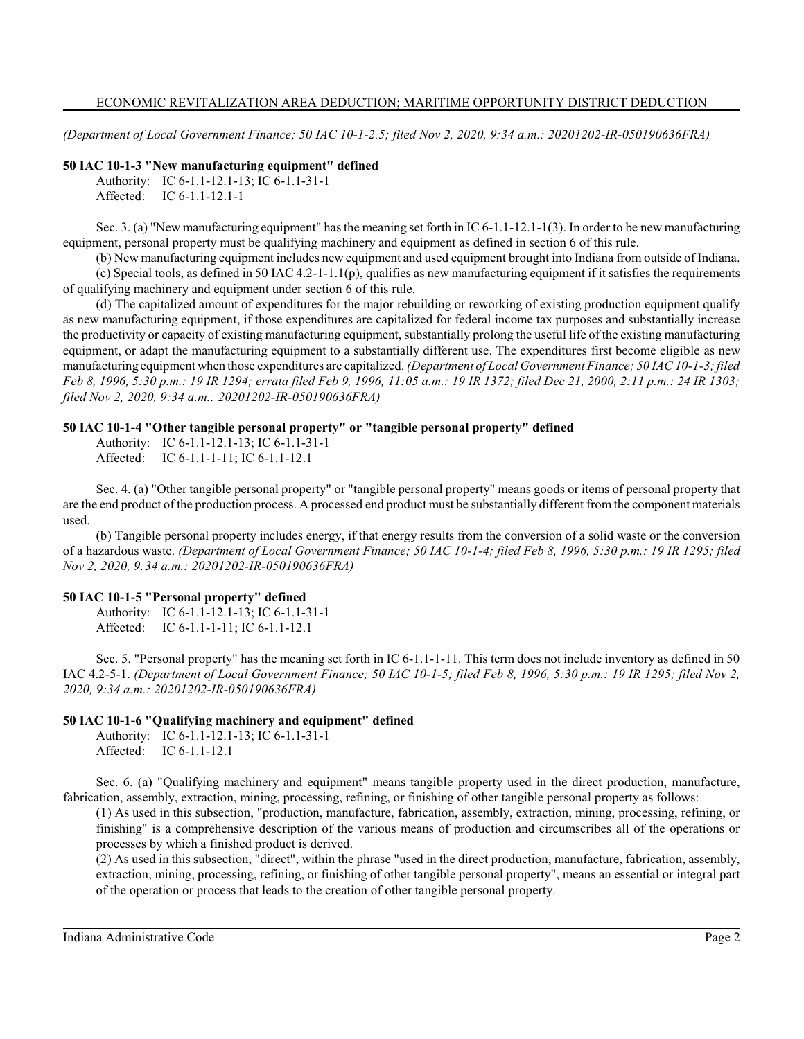*(Department of Local Government Finance; 50 IAC 10-1-2.5; filed Nov 2, 2020, 9:34 a.m.: 20201202-IR-050190636FRA)*

#### **50 IAC 10-1-3 "New manufacturing equipment" defined**

Authority: IC 6-1.1-12.1-13; IC 6-1.1-31-1 Affected: IC 6-1.1-12.1-1

Sec. 3. (a) "New manufacturing equipment" has the meaning set forth in IC 6-1.1-12.1-1(3). In order to be new manufacturing equipment, personal property must be qualifying machinery and equipment as defined in section 6 of this rule.

(b) New manufacturing equipment includes new equipment and used equipment brought into Indiana from outside of Indiana.

(c) Special tools, as defined in 50 IAC 4.2-1-1.1(p), qualifies as new manufacturing equipment if it satisfies the requirements of qualifying machinery and equipment under section 6 of this rule.

(d) The capitalized amount of expenditures for the major rebuilding or reworking of existing production equipment qualify as new manufacturing equipment, if those expenditures are capitalized for federal income tax purposes and substantially increase the productivity or capacity of existing manufacturing equipment, substantially prolong the useful life of the existing manufacturing equipment, or adapt the manufacturing equipment to a substantially different use. The expenditures first become eligible as new manufacturing equipment when those expenditures are capitalized. *(Department of Local Government Finance; 50 IAC 10-1-3; filed Feb 8, 1996, 5:30 p.m.: 19 IR 1294; errata filed Feb 9, 1996, 11:05 a.m.: 19 IR 1372; filed Dec 21, 2000, 2:11 p.m.: 24 IR 1303; filed Nov 2, 2020, 9:34 a.m.: 20201202-IR-050190636FRA)*

## **50 IAC 10-1-4 "Other tangible personal property" or "tangible personal property" defined**

Authority: IC 6-1.1-12.1-13; IC 6-1.1-31-1 Affected: IC 6-1.1-1-11; IC 6-1.1-12.1

Sec. 4. (a) "Other tangible personal property" or "tangible personal property" means goods or items of personal property that are the end product of the production process. A processed end product must be substantially different from the component materials used.

(b) Tangible personal property includes energy, if that energy results from the conversion of a solid waste or the conversion of a hazardous waste. *(Department of Local Government Finance; 50 IAC 10-1-4; filed Feb 8, 1996, 5:30 p.m.: 19 IR 1295; filed Nov 2, 2020, 9:34 a.m.: 20201202-IR-050190636FRA)*

## **50 IAC 10-1-5 "Personal property" defined**

Authority: IC 6-1.1-12.1-13; IC 6-1.1-31-1 Affected: IC 6-1.1-1-11; IC 6-1.1-12.1

Sec. 5. "Personal property" has the meaning set forth in IC 6-1.1-1-11. This term does not include inventory as defined in 50 IAC 4.2-5-1. *(Department of Local Government Finance; 50 IAC 10-1-5; filed Feb 8, 1996, 5:30 p.m.: 19 IR 1295; filed Nov 2, 2020, 9:34 a.m.: 20201202-IR-050190636FRA)*

## **50 IAC 10-1-6 "Qualifying machinery and equipment" defined**

Authority: IC 6-1.1-12.1-13; IC 6-1.1-31-1 Affected: IC 6-1.1-12.1

Sec. 6. (a) "Qualifying machinery and equipment" means tangible property used in the direct production, manufacture, fabrication, assembly, extraction, mining, processing, refining, or finishing of other tangible personal property as follows:

(1) As used in this subsection, "production, manufacture, fabrication, assembly, extraction, mining, processing, refining, or finishing" is a comprehensive description of the various means of production and circumscribes all of the operations or processes by which a finished product is derived.

(2) As used in this subsection, "direct", within the phrase "used in the direct production, manufacture, fabrication, assembly, extraction, mining, processing, refining, or finishing of other tangible personal property", means an essential or integral part of the operation or process that leads to the creation of other tangible personal property.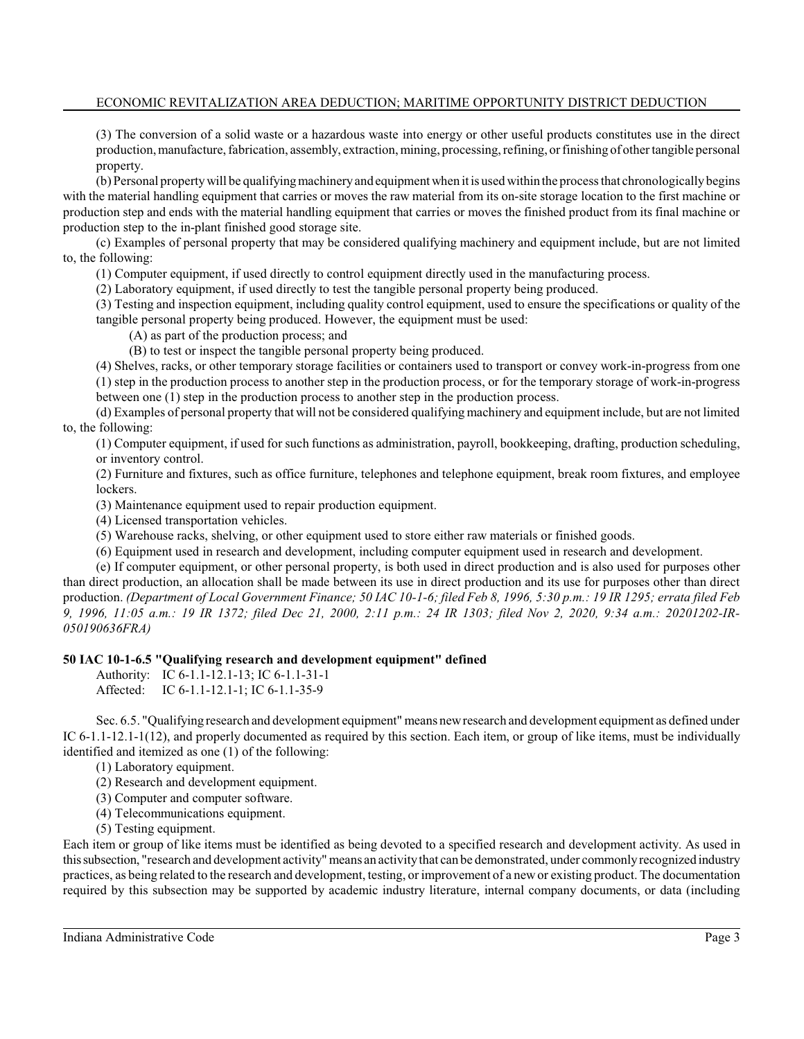(3) The conversion of a solid waste or a hazardous waste into energy or other useful products constitutes use in the direct production, manufacture, fabrication, assembly, extraction, mining, processing, refining, orfinishing of other tangible personal property.

(b) Personal property will be qualifying machinery and equipment when it is used within the process that chronologically begins with the material handling equipment that carries or moves the raw material from its on-site storage location to the first machine or production step and ends with the material handling equipment that carries or moves the finished product from its final machine or production step to the in-plant finished good storage site.

(c) Examples of personal property that may be considered qualifying machinery and equipment include, but are not limited to, the following:

(1) Computer equipment, if used directly to control equipment directly used in the manufacturing process.

(2) Laboratory equipment, if used directly to test the tangible personal property being produced.

(3) Testing and inspection equipment, including quality control equipment, used to ensure the specifications or quality of the tangible personal property being produced. However, the equipment must be used:

(A) as part of the production process; and

(B) to test or inspect the tangible personal property being produced.

(4) Shelves, racks, or other temporary storage facilities or containers used to transport or convey work-in-progress from one

(1) step in the production process to another step in the production process, or for the temporary storage of work-in-progress between one (1) step in the production process to another step in the production process.

(d) Examples of personal property that will not be considered qualifying machinery and equipment include, but are not limited to, the following:

(1) Computer equipment, if used for such functions as administration, payroll, bookkeeping, drafting, production scheduling, or inventory control.

(2) Furniture and fixtures, such as office furniture, telephones and telephone equipment, break room fixtures, and employee lockers.

(3) Maintenance equipment used to repair production equipment.

(4) Licensed transportation vehicles.

(5) Warehouse racks, shelving, or other equipment used to store either raw materials or finished goods.

(6) Equipment used in research and development, including computer equipment used in research and development.

(e) If computer equipment, or other personal property, is both used in direct production and is also used for purposes other than direct production, an allocation shall be made between its use in direct production and its use for purposes other than direct production. *(Department of Local Government Finance; 50 IAC 10-1-6; filed Feb 8, 1996, 5:30 p.m.: 19 IR 1295; errata filed Feb 9, 1996, 11:05 a.m.: 19 IR 1372; filed Dec 21, 2000, 2:11 p.m.: 24 IR 1303; filed Nov 2, 2020, 9:34 a.m.: 20201202-IR-050190636FRA)*

#### **50 IAC 10-1-6.5 "Qualifying research and development equipment" defined**

Authority: IC 6-1.1-12.1-13; IC 6-1.1-31-1 Affected: IC 6-1.1-12.1-1; IC 6-1.1-35-9

Sec. 6.5. "Qualifying research and development equipment" means newresearch and development equipment as defined under IC 6-1.1-12.1-1(12), and properly documented as required by this section. Each item, or group of like items, must be individually identified and itemized as one (1) of the following:

(1) Laboratory equipment.

(2) Research and development equipment.

(3) Computer and computer software.

(4) Telecommunications equipment.

(5) Testing equipment.

Each item or group of like items must be identified as being devoted to a specified research and development activity. As used in thissubsection, "research and development activity" means an activitythat can be demonstrated, under commonly recognized industry practices, as being related to the research and development, testing, or improvement of a newor existing product. The documentation required by this subsection may be supported by academic industry literature, internal company documents, or data (including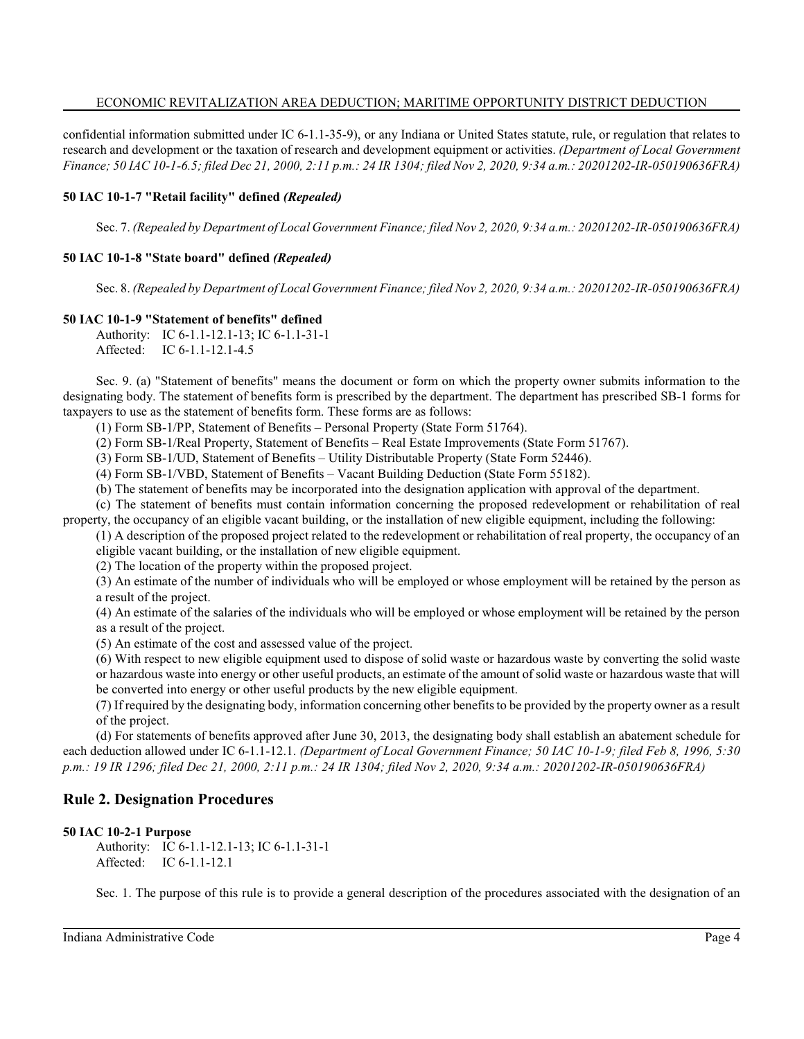confidential information submitted under IC 6-1.1-35-9), or any Indiana or United States statute, rule, or regulation that relates to research and development or the taxation of research and development equipment or activities. *(Department of Local Government Finance; 50 IAC 10-1-6.5; filed Dec 21, 2000, 2:11 p.m.: 24 IR 1304; filed Nov 2, 2020, 9:34 a.m.: 20201202-IR-050190636FRA)*

## **50 IAC 10-1-7 "Retail facility" defined** *(Repealed)*

Sec. 7. *(Repealed by Department of Local Government Finance; filed Nov 2, 2020, 9:34 a.m.: 20201202-IR-050190636FRA)*

## **50 IAC 10-1-8 "State board" defined** *(Repealed)*

Sec. 8. *(Repealed by Department of Local Government Finance; filed Nov 2, 2020, 9:34 a.m.: 20201202-IR-050190636FRA)*

## **50 IAC 10-1-9 "Statement of benefits" defined**

Authority: IC 6-1.1-12.1-13; IC 6-1.1-31-1 Affected: IC 6-1.1-12.1-4.5

Sec. 9. (a) "Statement of benefits" means the document or form on which the property owner submits information to the designating body. The statement of benefits form is prescribed by the department. The department has prescribed SB-1 forms for taxpayers to use as the statement of benefits form. These forms are as follows:

(1) Form SB-1/PP, Statement of Benefits – Personal Property (State Form 51764).

(2) Form SB-1/Real Property, Statement of Benefits – Real Estate Improvements (State Form 51767).

(3) Form SB-1/UD, Statement of Benefits – Utility Distributable Property (State Form 52446).

(4) Form SB-1/VBD, Statement of Benefits – Vacant Building Deduction (State Form 55182).

(b) The statement of benefits may be incorporated into the designation application with approval of the department.

(c) The statement of benefits must contain information concerning the proposed redevelopment or rehabilitation of real property, the occupancy of an eligible vacant building, or the installation of new eligible equipment, including the following:

(1) A description of the proposed project related to the redevelopment or rehabilitation of real property, the occupancy of an eligible vacant building, or the installation of new eligible equipment.

(2) The location of the property within the proposed project.

(3) An estimate of the number of individuals who will be employed or whose employment will be retained by the person as a result of the project.

(4) An estimate of the salaries of the individuals who will be employed or whose employment will be retained by the person as a result of the project.

(5) An estimate of the cost and assessed value of the project.

(6) With respect to new eligible equipment used to dispose of solid waste or hazardous waste by converting the solid waste or hazardous waste into energy or other useful products, an estimate of the amount of solid waste or hazardous waste that will be converted into energy or other useful products by the new eligible equipment.

(7) If required by the designating body, information concerning other benefits to be provided by the property owner as a result of the project.

(d) For statements of benefits approved after June 30, 2013, the designating body shall establish an abatement schedule for each deduction allowed under IC 6-1.1-12.1. *(Department of Local Government Finance; 50 IAC 10-1-9; filed Feb 8, 1996, 5:30 p.m.: 19 IR 1296; filed Dec 21, 2000, 2:11 p.m.: 24 IR 1304; filed Nov 2, 2020, 9:34 a.m.: 20201202-IR-050190636FRA)*

# **Rule 2. Designation Procedures**

#### **50 IAC 10-2-1 Purpose**

Authority: IC 6-1.1-12.1-13; IC 6-1.1-31-1 Affected: IC 6-1.1-12.1

Sec. 1. The purpose of this rule is to provide a general description of the procedures associated with the designation of an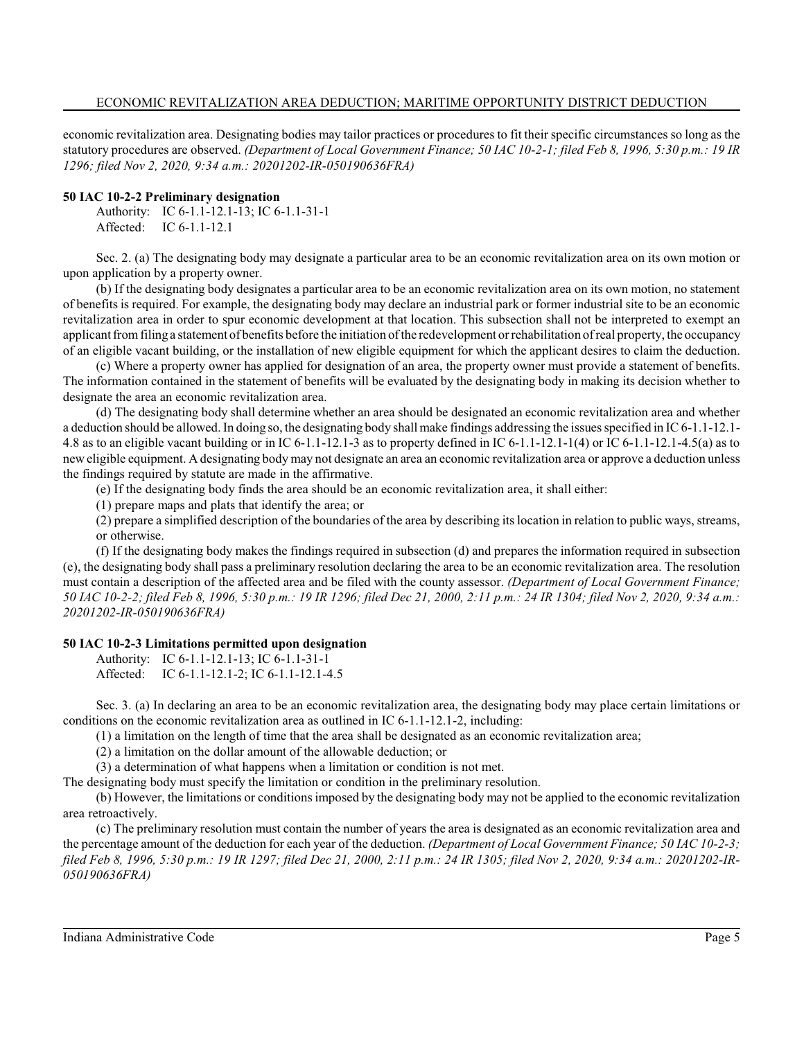economic revitalization area. Designating bodies may tailor practices or procedures to fit their specific circumstances so long as the statutory procedures are observed. *(Department of Local Government Finance; 50 IAC 10-2-1; filed Feb 8, 1996, 5:30 p.m.: 19 IR 1296; filed Nov 2, 2020, 9:34 a.m.: 20201202-IR-050190636FRA)*

#### **50 IAC 10-2-2 Preliminary designation**

Authority: IC 6-1.1-12.1-13; IC 6-1.1-31-1 Affected: IC 6-1.1-12.1

Sec. 2. (a) The designating body may designate a particular area to be an economic revitalization area on its own motion or upon application by a property owner.

(b) If the designating body designates a particular area to be an economic revitalization area on its own motion, no statement of benefits is required. For example, the designating body may declare an industrial park or former industrial site to be an economic revitalization area in order to spur economic development at that location. This subsection shall not be interpreted to exempt an applicant fromfiling a statement of benefits before the initiation of the redevelopment orrehabilitation of real property, the occupancy of an eligible vacant building, or the installation of new eligible equipment for which the applicant desires to claim the deduction.

(c) Where a property owner has applied for designation of an area, the property owner must provide a statement of benefits. The information contained in the statement of benefits will be evaluated by the designating body in making its decision whether to designate the area an economic revitalization area.

(d) The designating body shall determine whether an area should be designated an economic revitalization area and whether a deduction should be allowed. In doing so, the designating body shall make findings addressing the issues specified in IC 6-1.1-12.1- 4.8 as to an eligible vacant building or in IC 6-1.1-12.1-3 as to property defined in IC 6-1.1-12.1-1(4) or IC 6-1.1-12.1-4.5(a) as to neweligible equipment. A designating body may not designate an area an economic revitalization area or approve a deduction unless the findings required by statute are made in the affirmative.

(e) If the designating body finds the area should be an economic revitalization area, it shall either:

(1) prepare maps and plats that identify the area; or

(2) prepare a simplified description of the boundaries of the area by describing its location in relation to public ways, streams, or otherwise.

(f) If the designating body makes the findings required in subsection (d) and prepares the information required in subsection (e), the designating body shall pass a preliminary resolution declaring the area to be an economic revitalization area. The resolution must contain a description of the affected area and be filed with the county assessor. *(Department of Local Government Finance; 50 IAC 10-2-2; filed Feb 8, 1996, 5:30 p.m.: 19 IR 1296; filed Dec 21, 2000, 2:11 p.m.: 24 IR 1304; filed Nov 2, 2020, 9:34 a.m.: 20201202-IR-050190636FRA)*

## **50 IAC 10-2-3 Limitations permitted upon designation**

Authority: IC 6-1.1-12.1-13; IC 6-1.1-31-1 Affected: IC 6-1.1-12.1-2; IC 6-1.1-12.1-4.5

Sec. 3. (a) In declaring an area to be an economic revitalization area, the designating body may place certain limitations or conditions on the economic revitalization area as outlined in IC 6-1.1-12.1-2, including:

(1) a limitation on the length of time that the area shall be designated as an economic revitalization area;

(2) a limitation on the dollar amount of the allowable deduction; or

(3) a determination of what happens when a limitation or condition is not met.

The designating body must specify the limitation or condition in the preliminary resolution.

(b) However, the limitations or conditions imposed by the designating body may not be applied to the economic revitalization area retroactively.

(c) The preliminary resolution must contain the number of years the area is designated as an economic revitalization area and the percentage amount of the deduction for each year of the deduction. *(Department of Local Government Finance; 50 IAC 10-2-3; filed Feb 8, 1996, 5:30 p.m.: 19 IR 1297; filed Dec 21, 2000, 2:11 p.m.: 24 IR 1305; filed Nov 2, 2020, 9:34 a.m.: 20201202-IR-050190636FRA)*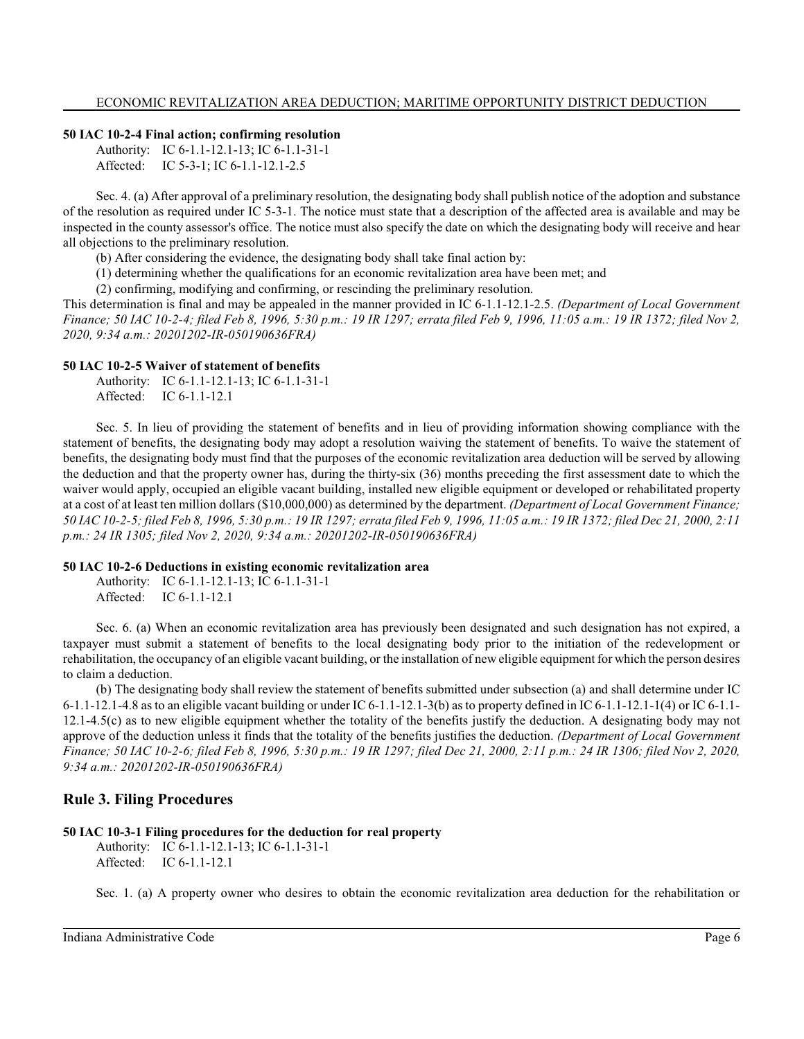#### **50 IAC 10-2-4 Final action; confirming resolution**

Authority: IC 6-1.1-12.1-13; IC 6-1.1-31-1 Affected: IC 5-3-1; IC 6-1.1-12.1-2.5

Sec. 4. (a) After approval of a preliminary resolution, the designating body shall publish notice of the adoption and substance of the resolution as required under IC 5-3-1. The notice must state that a description of the affected area is available and may be inspected in the county assessor's office. The notice must also specify the date on which the designating body will receive and hear all objections to the preliminary resolution.

(b) After considering the evidence, the designating body shall take final action by:

(1) determining whether the qualifications for an economic revitalization area have been met; and

(2) confirming, modifying and confirming, or rescinding the preliminary resolution.

This determination is final and may be appealed in the manner provided in IC 6-1.1-12.1-2.5. *(Department of Local Government Finance; 50 IAC 10-2-4; filed Feb 8, 1996, 5:30 p.m.: 19 IR 1297; errata filed Feb 9, 1996, 11:05 a.m.: 19 IR 1372; filed Nov 2, 2020, 9:34 a.m.: 20201202-IR-050190636FRA)*

#### **50 IAC 10-2-5 Waiver of statement of benefits**

Authority: IC 6-1.1-12.1-13; IC 6-1.1-31-1 Affected: IC 6-1.1-12.1

Sec. 5. In lieu of providing the statement of benefits and in lieu of providing information showing compliance with the statement of benefits, the designating body may adopt a resolution waiving the statement of benefits. To waive the statement of benefits, the designating body must find that the purposes of the economic revitalization area deduction will be served by allowing the deduction and that the property owner has, during the thirty-six (36) months preceding the first assessment date to which the waiver would apply, occupied an eligible vacant building, installed new eligible equipment or developed or rehabilitated property at a cost of at least ten million dollars (\$10,000,000) as determined by the department. *(Department of Local Government Finance; 50 IAC 10-2-5; filed Feb 8, 1996, 5:30 p.m.: 19 IR 1297; errata filed Feb 9, 1996, 11:05 a.m.: 19 IR 1372; filed Dec 21, 2000, 2:11 p.m.: 24 IR 1305; filed Nov 2, 2020, 9:34 a.m.: 20201202-IR-050190636FRA)*

#### **50 IAC 10-2-6 Deductions in existing economic revitalization area**

Authority: IC 6-1.1-12.1-13; IC 6-1.1-31-1 Affected: IC 6-1.1-12.1

Sec. 6. (a) When an economic revitalization area has previously been designated and such designation has not expired, a taxpayer must submit a statement of benefits to the local designating body prior to the initiation of the redevelopment or rehabilitation, the occupancy of an eligible vacant building, or the installation of new eligible equipment for which the person desires to claim a deduction.

(b) The designating body shall review the statement of benefits submitted under subsection (a) and shall determine under IC 6-1.1-12.1-4.8 as to an eligible vacant building or under IC 6-1.1-12.1-3(b) as to property defined in IC 6-1.1-12.1-1(4) or IC 6-1.1- 12.1-4.5(c) as to new eligible equipment whether the totality of the benefits justify the deduction. A designating body may not approve of the deduction unless it finds that the totality of the benefits justifies the deduction. *(Department of Local Government Finance; 50 IAC 10-2-6; filed Feb 8, 1996, 5:30 p.m.: 19 IR 1297; filed Dec 21, 2000, 2:11 p.m.: 24 IR 1306; filed Nov 2, 2020, 9:34 a.m.: 20201202-IR-050190636FRA)*

## **Rule 3. Filing Procedures**

# **50 IAC 10-3-1 Filing procedures for the deduction for real property**

Authority: IC 6-1.1-12.1-13; IC 6-1.1-31-1 Affected: IC 6-1.1-12.1

Sec. 1. (a) A property owner who desires to obtain the economic revitalization area deduction for the rehabilitation or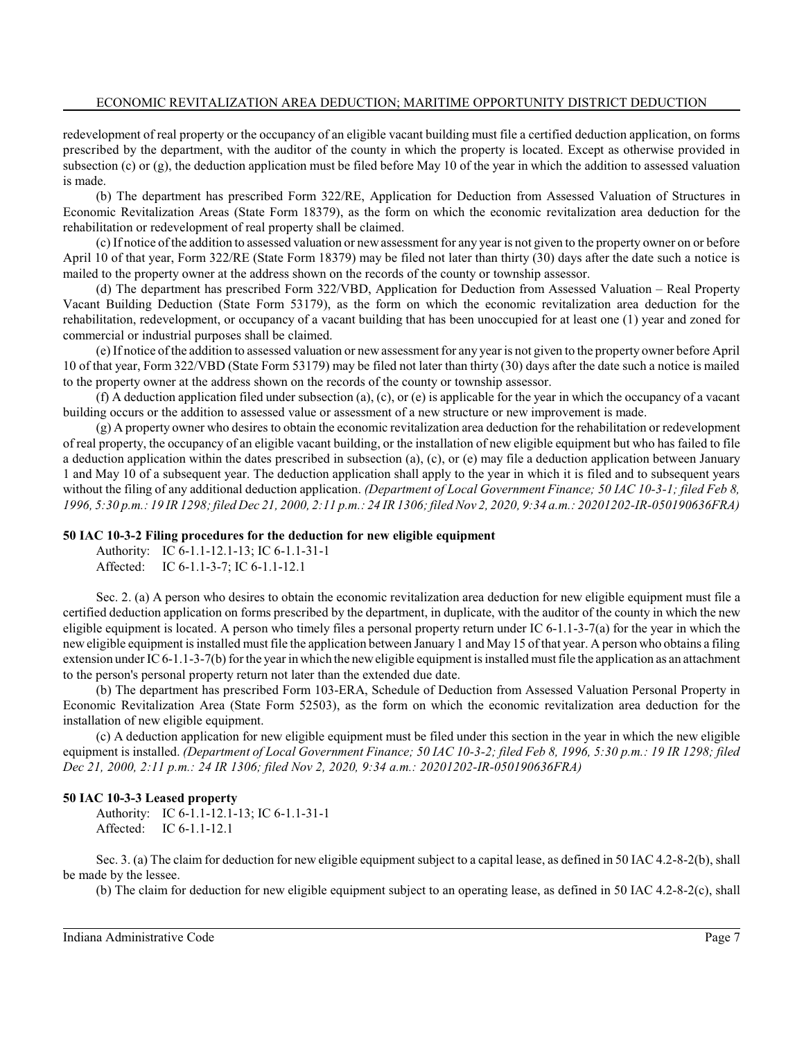redevelopment of real property or the occupancy of an eligible vacant building must file a certified deduction application, on forms prescribed by the department, with the auditor of the county in which the property is located. Except as otherwise provided in subsection (c) or (g), the deduction application must be filed before May 10 of the year in which the addition to assessed valuation is made.

(b) The department has prescribed Form 322/RE, Application for Deduction from Assessed Valuation of Structures in Economic Revitalization Areas (State Form 18379), as the form on which the economic revitalization area deduction for the rehabilitation or redevelopment of real property shall be claimed.

(c) If notice of the addition to assessed valuation or newassessment for any year is not given to the property owner on or before April 10 of that year, Form 322/RE (State Form 18379) may be filed not later than thirty (30) days after the date such a notice is mailed to the property owner at the address shown on the records of the county or township assessor.

(d) The department has prescribed Form 322/VBD, Application for Deduction from Assessed Valuation – Real Property Vacant Building Deduction (State Form 53179), as the form on which the economic revitalization area deduction for the rehabilitation, redevelopment, or occupancy of a vacant building that has been unoccupied for at least one (1) year and zoned for commercial or industrial purposes shall be claimed.

(e) If notice of the addition to assessed valuation or newassessment for any year is not given to the property owner before April 10 of that year, Form 322/VBD (State Form 53179) may be filed not later than thirty (30) days after the date such a notice is mailed to the property owner at the address shown on the records of the county or township assessor.

(f) A deduction application filed under subsection (a), (c), or (e) is applicable for the year in which the occupancy of a vacant building occurs or the addition to assessed value or assessment of a new structure or new improvement is made.

(g) A property owner who desires to obtain the economic revitalization area deduction for the rehabilitation or redevelopment of real property, the occupancy of an eligible vacant building, or the installation of new eligible equipment but who has failed to file a deduction application within the dates prescribed in subsection (a), (c), or (e) may file a deduction application between January 1 and May 10 of a subsequent year. The deduction application shall apply to the year in which it is filed and to subsequent years without the filing of any additional deduction application. *(Department of Local Government Finance; 50 IAC 10-3-1; filed Feb 8, 1996, 5:30 p.m.: 19 IR 1298; filed Dec 21, 2000, 2:11 p.m.: 24 IR 1306; filed Nov 2, 2020, 9:34 a.m.: 20201202-IR-050190636FRA)*

#### **50 IAC 10-3-2 Filing procedures for the deduction for new eligible equipment**

Authority: IC 6-1.1-12.1-13; IC 6-1.1-31-1 Affected: IC 6-1.1-3-7; IC 6-1.1-12.1

Sec. 2. (a) A person who desires to obtain the economic revitalization area deduction for new eligible equipment must file a certified deduction application on forms prescribed by the department, in duplicate, with the auditor of the county in which the new eligible equipment is located. A person who timely files a personal property return under IC  $6-1.1-3-7(a)$  for the year in which the new eligible equipment is installed must file the application between January 1 and May 15 of that year. A person who obtains a filing extension under IC 6-1.1-3-7(b) for the year in which the neweligible equipment is installed mustfile the application as an attachment to the person's personal property return not later than the extended due date.

(b) The department has prescribed Form 103-ERA, Schedule of Deduction from Assessed Valuation Personal Property in Economic Revitalization Area (State Form 52503), as the form on which the economic revitalization area deduction for the installation of new eligible equipment.

(c) A deduction application for new eligible equipment must be filed under this section in the year in which the new eligible equipment is installed. *(Department of Local Government Finance; 50 IAC 10-3-2; filed Feb 8, 1996, 5:30 p.m.: 19 IR 1298; filed Dec 21, 2000, 2:11 p.m.: 24 IR 1306; filed Nov 2, 2020, 9:34 a.m.: 20201202-IR-050190636FRA)*

#### **50 IAC 10-3-3 Leased property**

Authority: IC 6-1.1-12.1-13; IC 6-1.1-31-1 Affected: IC 6-1.1-12.1

Sec. 3. (a) The claim for deduction for new eligible equipment subject to a capital lease, as defined in 50 IAC 4.2-8-2(b), shall be made by the lessee.

(b) The claim for deduction for new eligible equipment subject to an operating lease, as defined in 50 IAC 4.2-8-2(c), shall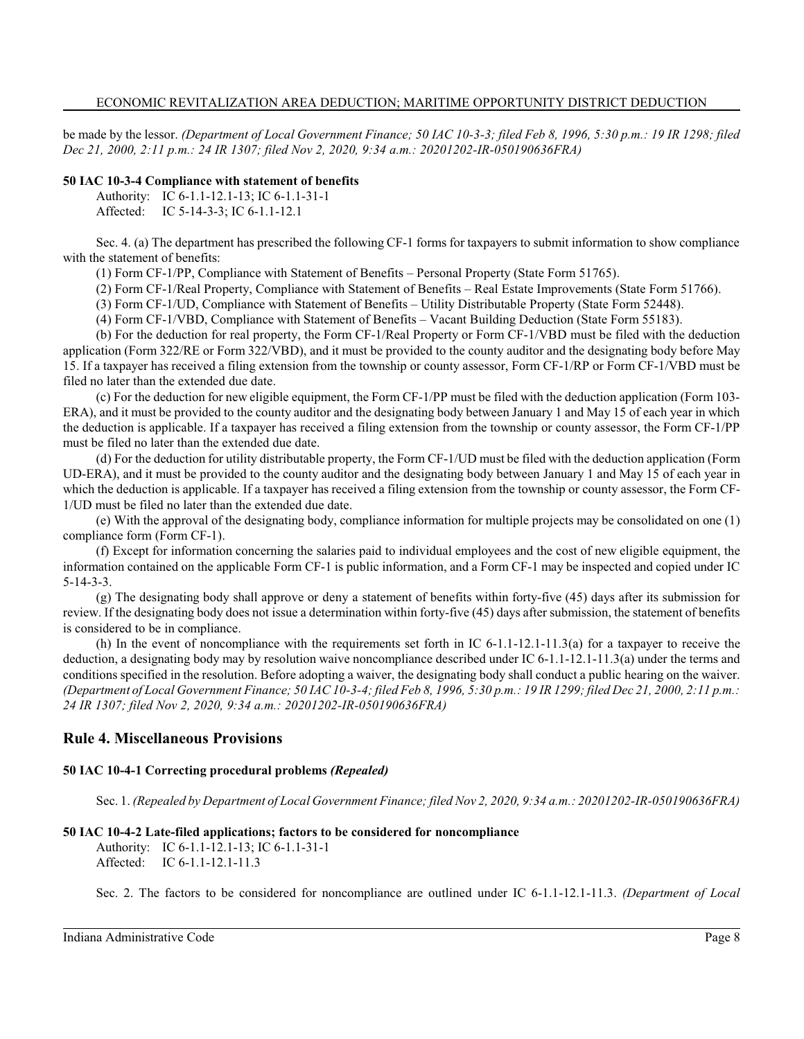be made by the lessor. *(Department of Local Government Finance; 50 IAC 10-3-3; filed Feb 8, 1996, 5:30 p.m.: 19 IR 1298; filed Dec 21, 2000, 2:11 p.m.: 24 IR 1307; filed Nov 2, 2020, 9:34 a.m.: 20201202-IR-050190636FRA)*

# **50 IAC 10-3-4 Compliance with statement of benefits**

Authority: IC 6-1.1-12.1-13; IC 6-1.1-31-1

Affected: IC 5-14-3-3; IC 6-1.1-12.1

Sec. 4. (a) The department has prescribed the following CF-1 forms for taxpayers to submit information to show compliance with the statement of benefits:

(1) Form CF-1/PP, Compliance with Statement of Benefits – Personal Property (State Form 51765).

(2) Form CF-1/Real Property, Compliance with Statement of Benefits – Real Estate Improvements (State Form 51766).

(3) Form CF-1/UD, Compliance with Statement of Benefits – Utility Distributable Property (State Form 52448).

(4) Form CF-1/VBD, Compliance with Statement of Benefits – Vacant Building Deduction (State Form 55183).

(b) For the deduction for real property, the Form CF-1/Real Property or Form CF-1/VBD must be filed with the deduction application (Form 322/RE or Form 322/VBD), and it must be provided to the county auditor and the designating body before May 15. If a taxpayer has received a filing extension from the township or county assessor, Form CF-1/RP or Form CF-1/VBD must be filed no later than the extended due date.

(c) For the deduction for new eligible equipment, the Form CF-1/PP must be filed with the deduction application (Form 103- ERA), and it must be provided to the county auditor and the designating body between January 1 and May 15 of each year in which the deduction is applicable. If a taxpayer has received a filing extension from the township or county assessor, the Form CF-1/PP must be filed no later than the extended due date.

(d) For the deduction for utility distributable property, the Form CF-1/UD must be filed with the deduction application (Form UD-ERA), and it must be provided to the county auditor and the designating body between January 1 and May 15 of each year in which the deduction is applicable. If a taxpayer has received a filing extension from the township or county assessor, the Form CF-1/UD must be filed no later than the extended due date.

(e) With the approval of the designating body, compliance information for multiple projects may be consolidated on one (1) compliance form (Form CF-1).

(f) Except for information concerning the salaries paid to individual employees and the cost of new eligible equipment, the information contained on the applicable Form CF-1 is public information, and a Form CF-1 may be inspected and copied under IC 5-14-3-3.

(g) The designating body shall approve or deny a statement of benefits within forty-five (45) days after its submission for review. If the designating body does not issue a determination within forty-five (45) days after submission, the statement of benefits is considered to be in compliance.

(h) In the event of noncompliance with the requirements set forth in IC  $6-1.1-12.1-11.3(a)$  for a taxpayer to receive the deduction, a designating body may by resolution waive noncompliance described under IC 6-1.1-12.1-11.3(a) under the terms and conditions specified in the resolution. Before adopting a waiver, the designating body shall conduct a public hearing on the waiver. *(Department of Local Government Finance; 50 IAC 10-3-4; filed Feb 8, 1996, 5:30 p.m.: 19 IR 1299; filed Dec 21, 2000, 2:11 p.m.: 24 IR 1307; filed Nov 2, 2020, 9:34 a.m.: 20201202-IR-050190636FRA)*

# **Rule 4. Miscellaneous Provisions**

## **50 IAC 10-4-1 Correcting procedural problems** *(Repealed)*

Sec. 1. *(Repealed by Department of Local Government Finance; filed Nov 2, 2020, 9:34 a.m.: 20201202-IR-050190636FRA)*

## **50 IAC 10-4-2 Late-filed applications; factors to be considered for noncompliance**

Authority: IC 6-1.1-12.1-13; IC 6-1.1-31-1 Affected: IC 6-1.1-12.1-11.3

Sec. 2. The factors to be considered for noncompliance are outlined under IC 6-1.1-12.1-11.3. *(Department of Local*